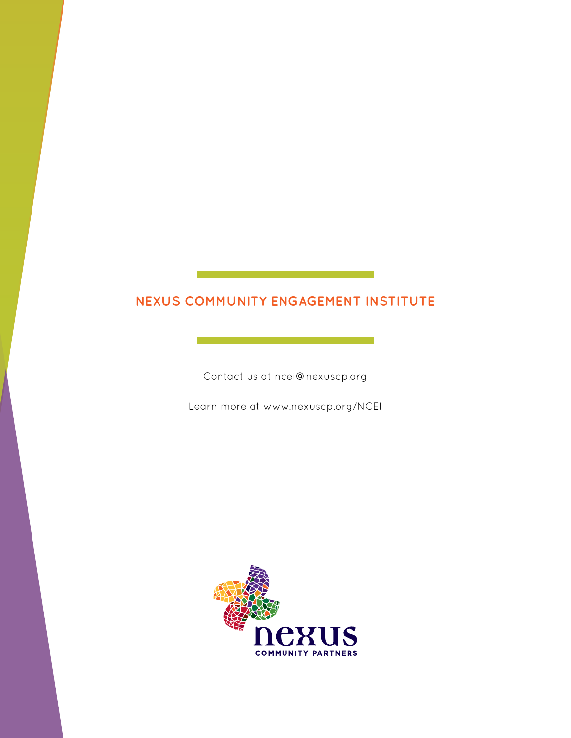## **NEXUS COMMUNITY ENGAGEMENT INSTITUTE**

Contact us at ncei@nexuscp.org

Learn more at www.nexuscp.org/NCEI

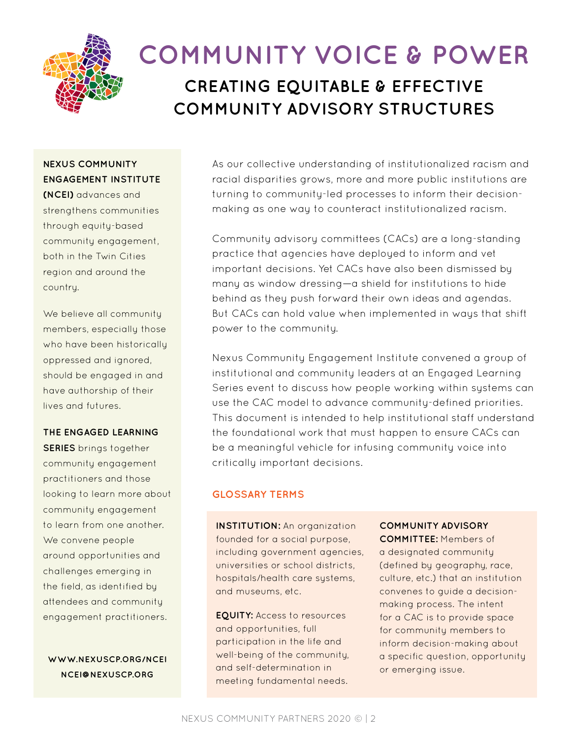

# **CREATING EQUITABLE & EFFECTIVE COMMUNITY ADVISORY STRUCTURES COMMUNITY VOICE & POWER**

## **NEXUS COMMUNITY ENGAGEMENT INSTITUTE**

**(NCEI)** advances and strengthens communities through equity-based community engagement, both in the Twin Cities region and around the country.

We believe all community members, especially those who have been historically oppressed and ignored, should be engaged in and have authorship of their lives and futures.

#### **THE ENGAGED LEARNING**

**SERIES** brings together community engagement practitioners and those looking to learn more about community engagement to learn from one another. We convene people around opportunities and challenges emerging in the field, as identified by attendees and community engagement practitioners.

**WWW.NEXUSCP.ORG/NCEI NCEI@NEXUSCP.ORG**

As our collective understanding of institutionalized racism and racial disparities grows, more and more public institutions are turning to community-led processes to inform their decisionmaking as one way to counteract institutionalized racism.

Community advisory committees (CACs) are a long-standing practice that agencies have deployed to inform and vet important decisions. Yet CACs have also been dismissed by many as window dressing—a shield for institutions to hide behind as they push forward their own ideas and agendas. But CACs can hold value when implemented in ways that shift power to the community.

Nexus Community Engagement Institute convened a group of institutional and community leaders at an Engaged Learning Series event to discuss how people working within systems can use the CAC model to advance community-defined priorities. This document is intended to help institutional staff understand the foundational work that must happen to ensure CACs can be a meaningful vehicle for infusing community voice into critically important decisions.

#### **GLOSSARY TERMS**

**INSTITUTION:** An organization founded for a social purpose, including government agencies, universities or school districts, hospitals/health care systems, and museums, etc.

**EQUITY:** Access to resources and opportunities, full participation in the life and well-being of the community, and self-determination in meeting fundamental needs.

#### **COMMUNITY ADVISORY**

**COMMITTEE:** Members of a designated community (defined by geography, race, culture, etc.) that an institution convenes to guide a decisionmaking process. The intent for a CAC is to provide space for community members to inform decision-making about a specific question, opportunity or emerging issue.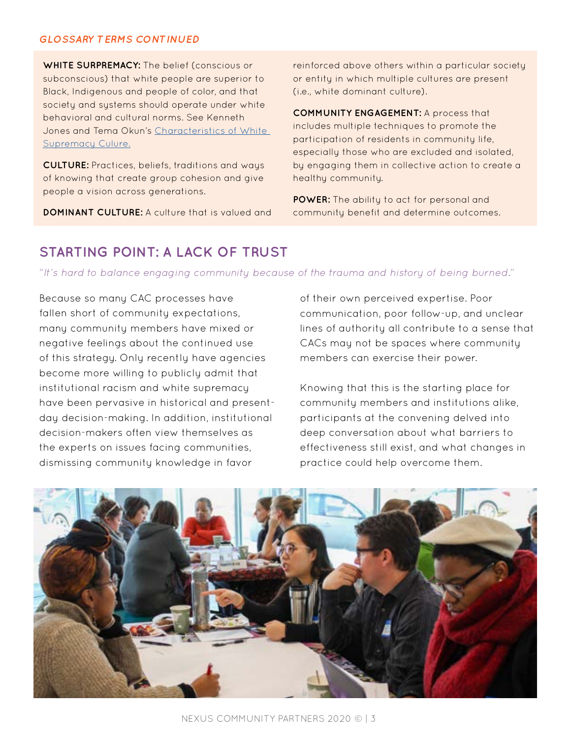#### *GLOSSARY TERMS CONTINUED*

**WHITE SURPREMACY:** The belief (conscious or subconscious) that white people are superior to Black, Indigenous and people of color, and that society and systems should operate under white behavioral and cultural norms. See Kenneth Jones and Tema Okun's [Characteristics of White](https://www.showingupforracialjustice.org/white-supremacy-culture-characteristics.html)  [Supremacy Culure.](https://www.showingupforracialjustice.org/white-supremacy-culture-characteristics.html)

**CULTURE:** Practices, beliefs, traditions and ways of knowing that create group cohesion and give people a vision across generations.

**DOMINANT CULTURE:** A culture that is valued and

reinforced above others within a particular society or entity in which multiple cultures are present (i.e., white dominant culture).

**COMMUNITY ENGAGEMENT:** A process that includes multiple techniques to promote the participation of residents in community life, especially those who are excluded and isolated, by engaging them in collective action to create a healthy community.

**POWER:** The ability to act for personal and community benefit and determine outcomes.

## **STARTING POINT: A LACK OF TRUST**

*"It's hard to balance engaging community because of the trauma and history of being burned."*

Because so many CAC processes have fallen short of community expectations, many community members have mixed or negative feelings about the continued use of this strategy. Only recently have agencies become more willing to publicly admit that institutional racism and white supremacy have been pervasive in historical and presentday decision-making. In addition, institutional decision-makers often view themselves as the experts on issues facing communities, dismissing community knowledge in favor

of their own perceived expertise. Poor communication, poor follow-up, and unclear lines of authority all contribute to a sense that CACs may not be spaces where community members can exercise their power.

Knowing that this is the starting place for community members and institutions alike, participants at the convening delved into deep conversation about what barriers to effectiveness still exist, and what changes in practice could help overcome them.

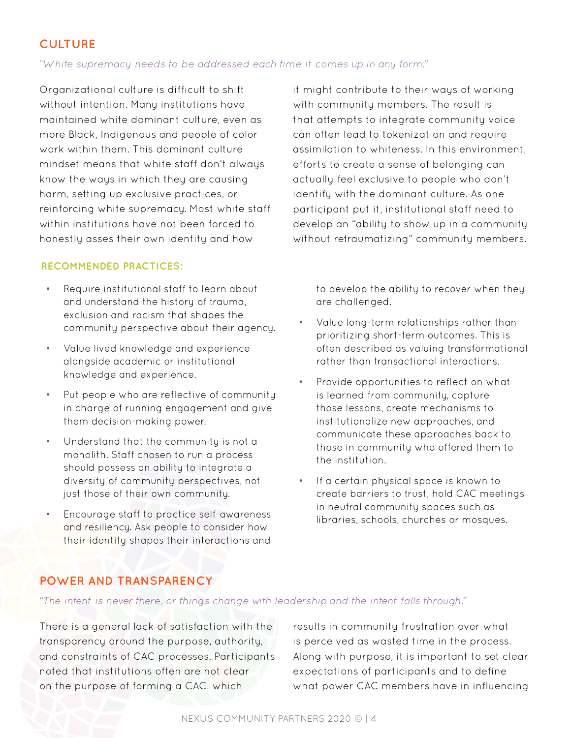## **CULTURE**

#### *"White supremacy needs to be addressed each time it comes up in any form."*

Organizational culture is difficult to shift without intention. Many institutions have maintained white dominant culture, even as more Black, Indigenous and people of color work within them. This dominant culture mindset means that white staff don't always know the ways in which they are causing harm, setting up exclusive practices, or reinforcing white supremacy. Most white staff within institutions have not been forced to honestly asses their own identity and how

#### **RECOMMENDED PRACTICES:**

- Require institutional staff to learn about and understand the history of trauma, exclusion and racism that shapes the community perspective about their agency.
- Value lived knowledge and experience alongside academic or institutional knowledge and experience.
- Put people who are reflective of community in charge of running engagement and give them decision-making power.
- Understand that the community is not a monolith. Staff chosen to run a process should possess an ability to integrate a diversity of community perspectives, not just those of their own community.
- Encourage staff to practice self-awareness and resiliency. Ask people to consider how their identity shapes their interactions and

it might contribute to their ways of working with community members. The result is that attempts to integrate community voice can often lead to tokenization and require assimilation to whiteness. In this environment, efforts to create a sense of belonging can actually feel exclusive to people who don't identify with the dominant culture. As one participant put it, institutional staff need to develop an "ability to show up in a community without retraumatizing" community members.

to develop the ability to recover when they are challenged.

- Value long-term relationships rather than prioritizing short-term outcomes. This is often described as valuing transformational rather than transactional interactions.
- Provide opportunities to reflect on what is learned from community, capture those lessons, create mechanisms to institutionalize new approaches, and communicate these approaches back to those in community who offered them to the institution.
- If a certain physical space is known to create barriers to trust, hold CAC meetings in neutral community spaces such as libraries, schools, churches or mosques.

### **POWER AND TRANSPARENCY**

*"The intent is never there, or things change with leadership and the intent falls through."*

There is a general lack of satisfaction with the transparency around the purpose, authority, and constraints of CAC processes. Participants noted that institutions often are not clear on the purpose of forming a CAC, which

results in community frustration over what is perceived as wasted time in the process. Along with purpose, it is important to set clear expectations of participants and to define what power CAC members have in influencing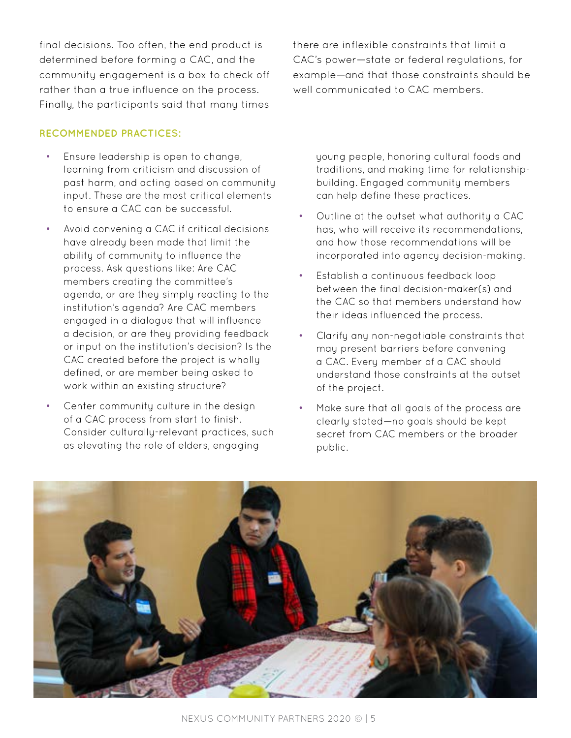final decisions. Too often, the end product is determined before forming a CAC, and the community engagement is a box to check off rather than a true influence on the process. Finally, the participants said that many times

#### **RECOMMENDED PRACTICES:**

- Ensure leadership is open to change, learning from criticism and discussion of past harm, and acting based on community input. These are the most critical elements to ensure a CAC can be successful.
- Avoid convening a CAC if critical decisions have already been made that limit the ability of community to influence the process. Ask questions like: Are CAC members creating the committee's agenda, or are they simply reacting to the institution's agenda? Are CAC members engaged in a dialogue that will influence a decision, or are they providing feedback or input on the institution's decision? Is the CAC created before the project is wholly defined, or are member being asked to work within an existing structure?
- Center community culture in the design of a CAC process from start to finish. Consider culturally-relevant practices, such as elevating the role of elders, engaging

there are inflexible constraints that limit a CAC's power—state or federal regulations, for example—and that those constraints should be well communicated to CAC members.

young people, honoring cultural foods and traditions, and making time for relationshipbuilding. Engaged community members can help define these practices.

- Outline at the outset what authority a CAC has, who will receive its recommendations, and how those recommendations will be incorporated into agency decision-making.
- Establish a continuous feedback loop between the final decision-maker(s) and the CAC so that members understand how their ideas influenced the process.
- Clarify any non-negotiable constraints that may present barriers before convening a CAC. Every member of a CAC should understand those constraints at the outset of the project.
- Make sure that all goals of the process are clearly stated—no goals should be kept secret from CAC members or the broader public.

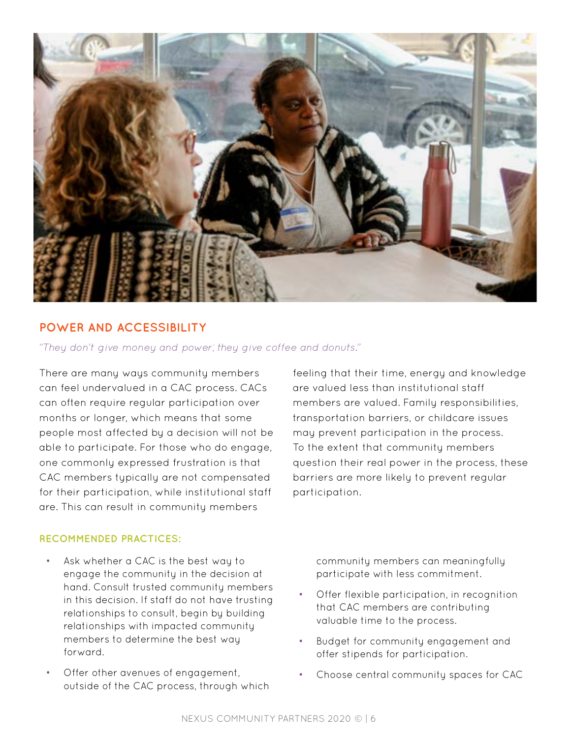

#### **POWER AND ACCESSIBILITY**

*"They don't give money and power; they give coffee and donuts."*

There are many ways community members can feel undervalued in a CAC process. CACs can often require regular participation over months or longer, which means that some people most affected by a decision will not be able to participate. For those who do engage, one commonly expressed frustration is that CAC members typically are not compensated for their participation, while institutional staff are. This can result in community members

feeling that their time, energy and knowledge are valued less than institutional staff members are valued. Family responsibilities, transportation barriers, or childcare issues may prevent participation in the process. To the extent that community members question their real power in the process, these barriers are more likely to prevent regular participation.

#### **RECOMMENDED PRACTICES:**

- Ask whether a CAC is the best way to engage the community in the decision at hand. Consult trusted community members in this decision. If staff do not have trusting relationships to consult, begin by building relationships with impacted community members to determine the best way forward.
- Offer other avenues of engagement, outside of the CAC process, through which

community members can meaningfully participate with less commitment.

- Offer flexible participation, in recognition that CAC members are contributing valuable time to the process.
- Budget for community engagement and offer stipends for participation.
- Choose central community spaces for CAC